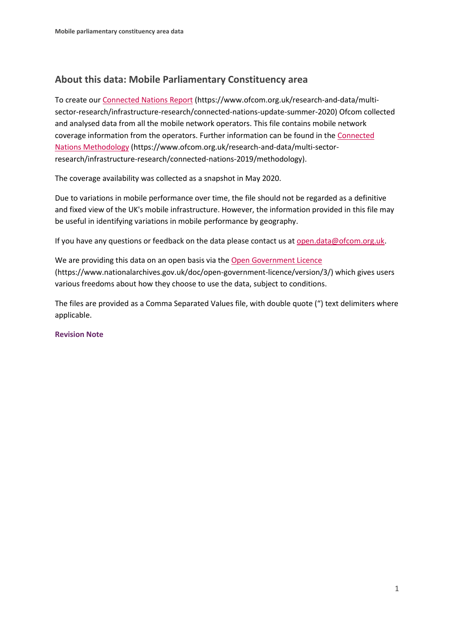# **About this data: Mobile Parliamentary Constituency area**

To create ou[r Connected Nations Report](https://www.ofcom.org.uk/research-and-data/multi-sector-research/infrastructure-research/connected-nations-update-summer-2020) (https://www.ofcom.org.uk/research-and-data/multisector-research/infrastructure-research/connected-nations-update-summer-2020) Ofcom collected and analysed data from all the mobile network operators. This file contains mobile network coverage information from the operators. Further information can be found in the [Connected](https://www.ofcom.org.uk/research-and-data/multi-sector-research/infrastructure-research/connected-nations-2019/methodology)  [Nations Methodology](https://www.ofcom.org.uk/research-and-data/multi-sector-research/infrastructure-research/connected-nations-2019/methodology) (https://www.ofcom.org.uk/research-and-data/multi-sectorresearch/infrastructure-research/connected-nations-2019/methodology).

The coverage availability was collected as a snapshot in May 2020.

Due to variations in mobile performance over time, the file should not be regarded as a definitive and fixed view of the UK's mobile infrastructure. However, the information provided in this file may be useful in identifying variations in mobile performance by geography.

If you have any questions or feedback on the data please contact us at [open.data@ofcom.org.uk.](mailto:open.data@ofcom.org.uk)

We are providing this data on an open basis via the [Open Government Licence](https://www.nationalarchives.gov.uk/doc/open-government-licence/version/3/) (https://www.nationalarchives.gov.uk/doc/open-government-licence/version/3/) which gives users various freedoms about how they choose to use the data, subject to conditions.

The files are provided as a Comma Separated Values file, with double quote (") text delimiters where applicable.

#### **Revision Note**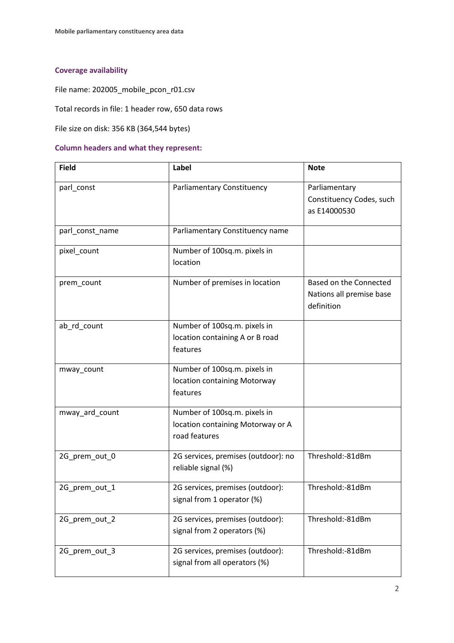## **Coverage availability**

File name: 202005\_mobile\_pcon\_r01.csv

Total records in file: 1 header row, 650 data rows

File size on disk: 356 KB (364,544 bytes)

#### **Column headers and what they represent:**

| <b>Field</b>    | Label                                                                              | <b>Note</b>                                                      |
|-----------------|------------------------------------------------------------------------------------|------------------------------------------------------------------|
| parl_const      | Parliamentary Constituency                                                         | Parliamentary<br>Constituency Codes, such<br>as E14000530        |
| parl_const_name | Parliamentary Constituency name                                                    |                                                                  |
| pixel_count     | Number of 100sq.m. pixels in<br>location                                           |                                                                  |
| prem_count      | Number of premises in location                                                     | Based on the Connected<br>Nations all premise base<br>definition |
| ab_rd_count     | Number of 100sq.m. pixels in<br>location containing A or B road<br>features        |                                                                  |
| mway_count      | Number of 100sq.m. pixels in<br>location containing Motorway<br>features           |                                                                  |
| mway_ard_count  | Number of 100sq.m. pixels in<br>location containing Motorway or A<br>road features |                                                                  |
| 2G_prem_out_0   | 2G services, premises (outdoor): no<br>reliable signal (%)                         | Threshold:-81dBm                                                 |
| 2G prem out 1   | 2G services, premises (outdoor):<br>signal from 1 operator (%)                     | Threshold:-81dBm                                                 |
| 2G_prem_out_2   | 2G services, premises (outdoor):<br>signal from 2 operators (%)                    | Threshold:-81dBm                                                 |
| 2G_prem_out_3   | 2G services, premises (outdoor):<br>signal from all operators (%)                  | Threshold:-81dBm                                                 |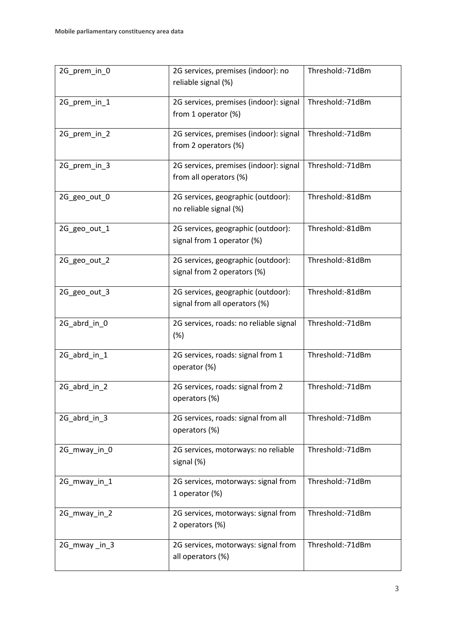| 2G_prem_in_0 | 2G services, premises (indoor): no<br>reliable signal (%)                 | Threshold:-71dBm |
|--------------|---------------------------------------------------------------------------|------------------|
| 2G_prem_in_1 | 2G services, premises (indoor): signal<br>from 1 operator (%)             | Threshold:-71dBm |
| 2G_prem_in_2 | 2G services, premises (indoor): signal<br>from 2 operators (%)            | Threshold:-71dBm |
| 2G_prem_in_3 | 2G services, premises (indoor): signal<br>from all operators (%)          | Threshold:-71dBm |
| 2G_geo_out_0 | 2G services, geographic (outdoor):<br>no reliable signal (%)              | Threshold:-81dBm |
| 2G_geo_out_1 | 2G services, geographic (outdoor):<br>signal from 1 operator (%)          | Threshold:-81dBm |
| 2G_geo_out_2 | 2G services, geographic (outdoor):<br>signal from 2 operators (%)         | Threshold:-81dBm |
| 2G_geo_out_3 | 2G services, geographic (outdoor):<br>signal from all operators (%)       | Threshold:-81dBm |
| 2G_abrd_in_0 | 2G services, roads: no reliable signal<br>(%)                             | Threshold:-71dBm |
| 2G_abrd_in_1 | 2G services, roads: signal from 1<br>operator (%)                         | Threshold:-71dBm |
| 2G_abrd_in_2 | 2G services, roads: signal from 2<br>operators (%)                        | Threshold:-71dBm |
| 2G_abrd_in_3 | 2G services, roads: signal from all<br>operators (%)                      | Threshold:-71dBm |
| 2G_mway_in_0 | 2G services, motorways: no reliable<br>signal (%)                         | Threshold:-71dBm |
| 2G mway in 1 | Threshold:-71dBm<br>2G services, motorways: signal from<br>1 operator (%) |                  |
| 2G_mway_in_2 | 2G services, motorways: signal from<br>2 operators (%)                    | Threshold:-71dBm |
| 2G_mway_in_3 | 2G services, motorways: signal from<br>all operators (%)                  | Threshold:-71dBm |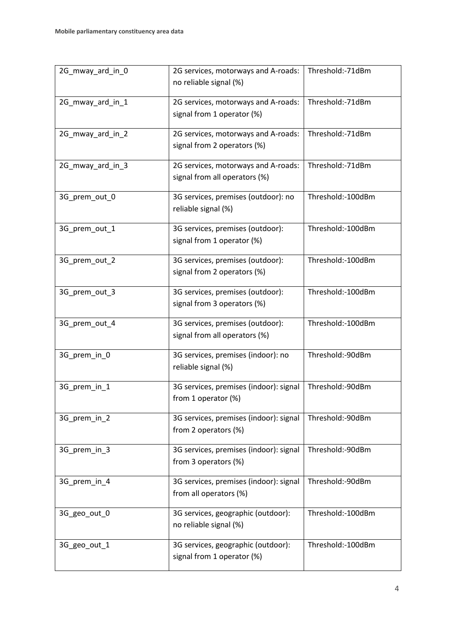| 2G_mway_ard_in_0 | 2G services, motorways and A-roads:<br>no reliable signal (%)                         | Threshold:-71dBm  |
|------------------|---------------------------------------------------------------------------------------|-------------------|
| 2G_mway_ard_in_1 | 2G services, motorways and A-roads:                                                   | Threshold:-71dBm  |
|                  | signal from 1 operator (%)                                                            |                   |
| 2G_mway_ard_in_2 | 2G services, motorways and A-roads:<br>signal from 2 operators (%)                    | Threshold:-71dBm  |
| 2G_mway_ard_in_3 | 2G services, motorways and A-roads:<br>signal from all operators (%)                  | Threshold:-71dBm  |
| 3G_prem_out_0    | 3G services, premises (outdoor): no<br>reliable signal (%)                            | Threshold:-100dBm |
| 3G_prem_out_1    | 3G services, premises (outdoor):<br>signal from 1 operator (%)                        | Threshold:-100dBm |
| 3G_prem_out_2    | 3G services, premises (outdoor):<br>signal from 2 operators (%)                       | Threshold:-100dBm |
| 3G_prem_out_3    | 3G services, premises (outdoor):<br>signal from 3 operators (%)                       | Threshold:-100dBm |
| 3G_prem_out_4    | 3G services, premises (outdoor):<br>signal from all operators (%)                     | Threshold:-100dBm |
| 3G_prem_in_0     | 3G services, premises (indoor): no<br>reliable signal (%)                             | Threshold:-90dBm  |
| 3G_prem_in_1     | 3G services, premises (indoor): signal<br>from 1 operator (%)                         | Threshold:-90dBm  |
| 3G_prem_in_2     | 3G services, premises (indoor): signal<br>from 2 operators (%)                        | Threshold:-90dBm  |
| 3G_prem_in_3     | 3G services, premises (indoor): signal<br>from 3 operators (%)                        | Threshold:-90dBm  |
| 3G_prem_in_4     | 3G services, premises (indoor): signal<br>from all operators (%)                      | Threshold:-90dBm  |
| 3G_geo_out_0     | 3G services, geographic (outdoor):<br>no reliable signal (%)                          | Threshold:-100dBm |
| 3G_geo_out_1     | 3G services, geographic (outdoor):<br>Threshold:-100dBm<br>signal from 1 operator (%) |                   |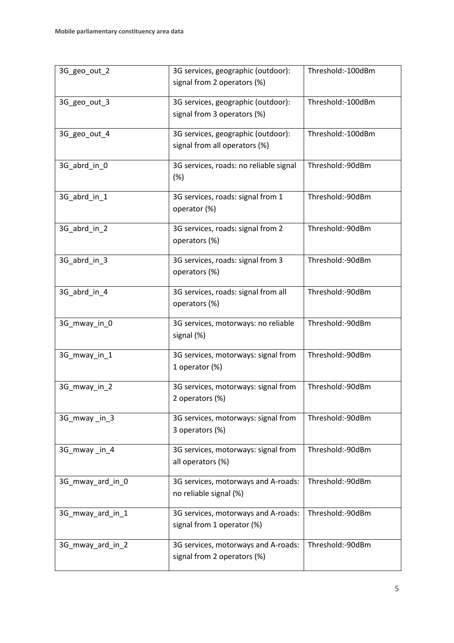| 3G_geo_out_2     | 3G services, geographic (outdoor):<br>signal from 2 operators (%)   | Threshold:-100dBm |  |
|------------------|---------------------------------------------------------------------|-------------------|--|
| 3G_geo_out_3     | 3G services, geographic (outdoor):<br>signal from 3 operators (%)   | Threshold:-100dBm |  |
| 3G_geo_out_4     | 3G services, geographic (outdoor):<br>signal from all operators (%) | Threshold:-100dBm |  |
| 3G_abrd_in_0     | 3G services, roads: no reliable signal<br>(%)                       | Threshold:-90dBm  |  |
| 3G_abrd_in_1     | 3G services, roads: signal from 1<br>operator (%)                   | Threshold:-90dBm  |  |
| 3G_abrd_in_2     | 3G services, roads: signal from 2<br>operators (%)                  | Threshold:-90dBm  |  |
| 3G_abrd_in_3     | 3G services, roads: signal from 3<br>operators (%)                  | Threshold:-90dBm  |  |
| 3G_abrd_in_4     | 3G services, roads: signal from all<br>operators (%)                | Threshold:-90dBm  |  |
| 3G_mway_in_0     | 3G services, motorways: no reliable<br>signal (%)                   | Threshold:-90dBm  |  |
| 3G_mway_in_1     | 3G services, motorways: signal from<br>1 operator (%)               | Threshold:-90dBm  |  |
| 3G_mway_in_2     | 3G services, motorways: signal from<br>2 operators (%)              | Threshold:-90dBm  |  |
| 3G mway in 3     | 3G services, motorways: signal from<br>3 operators (%)              | Threshold:-90dBm  |  |
| 3G_mway_in_4     | 3G services, motorways: signal from<br>all operators (%)            | Threshold:-90dBm  |  |
| 3G_mway_ard_in_0 | 3G services, motorways and A-roads:<br>no reliable signal (%)       | Threshold:-90dBm  |  |
| 3G_mway_ard_in_1 | 3G services, motorways and A-roads:<br>signal from 1 operator (%)   | Threshold:-90dBm  |  |
| 3G_mway_ard_in_2 | 3G services, motorways and A-roads:<br>signal from 2 operators (%)  | Threshold:-90dBm  |  |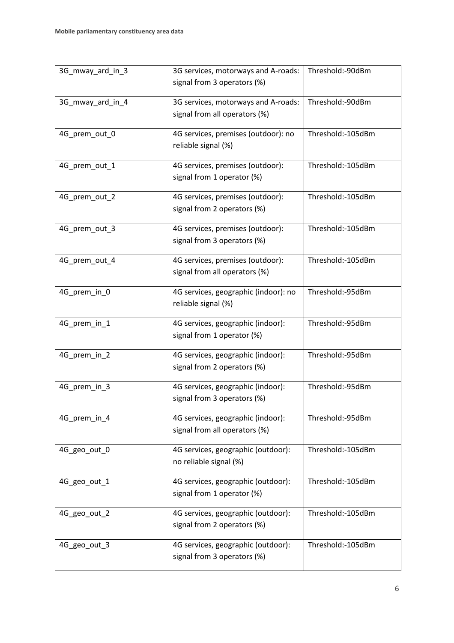| 3G_mway_ard_in_3 | Threshold:-90dBm<br>3G services, motorways and A-roads: |                   |
|------------------|---------------------------------------------------------|-------------------|
|                  | signal from 3 operators (%)                             |                   |
| 3G_mway_ard_in_4 | 3G services, motorways and A-roads:                     | Threshold:-90dBm  |
|                  | signal from all operators (%)                           |                   |
|                  |                                                         |                   |
| 4G_prem_out_0    | 4G services, premises (outdoor): no                     | Threshold:-105dBm |
|                  | reliable signal (%)                                     |                   |
| 4G_prem_out_1    | 4G services, premises (outdoor):                        | Threshold:-105dBm |
|                  | signal from 1 operator (%)                              |                   |
|                  |                                                         |                   |
| 4G_prem_out_2    | 4G services, premises (outdoor):                        | Threshold:-105dBm |
|                  | signal from 2 operators (%)                             |                   |
| 4G_prem_out_3    | 4G services, premises (outdoor):                        | Threshold:-105dBm |
|                  | signal from 3 operators (%)                             |                   |
|                  |                                                         |                   |
| 4G_prem_out_4    | 4G services, premises (outdoor):                        | Threshold:-105dBm |
|                  | signal from all operators (%)                           |                   |
| 4G_prem_in_0     | 4G services, geographic (indoor): no                    | Threshold:-95dBm  |
|                  | reliable signal (%)                                     |                   |
|                  |                                                         |                   |
| 4G_prem_in_1     | 4G services, geographic (indoor):                       | Threshold:-95dBm  |
|                  | signal from 1 operator (%)                              |                   |
| 4G_prem_in_2     | 4G services, geographic (indoor):                       | Threshold:-95dBm  |
|                  | signal from 2 operators (%)                             |                   |
| 4G_prem_in_3     | 4G services, geographic (indoor):                       | Threshold:-95dBm  |
|                  | signal from 3 operators (%)                             |                   |
|                  |                                                         |                   |
| 4G_prem_in_4     | 4G services, geographic (indoor):                       | Threshold:-95dBm  |
|                  | signal from all operators (%)                           |                   |
| 4G_geo_out_0     | 4G services, geographic (outdoor):                      | Threshold:-105dBm |
|                  | no reliable signal (%)                                  |                   |
|                  |                                                         |                   |
| 4G_geo_out_1     | 4G services, geographic (outdoor):                      | Threshold:-105dBm |
|                  | signal from 1 operator (%)                              |                   |
| 4G_geo_out_2     | 4G services, geographic (outdoor):                      | Threshold:-105dBm |
|                  | signal from 2 operators (%)                             |                   |
|                  |                                                         |                   |
| 4G_geo_out_3     | 4G services, geographic (outdoor):                      | Threshold:-105dBm |
|                  | signal from 3 operators (%)                             |                   |
|                  |                                                         |                   |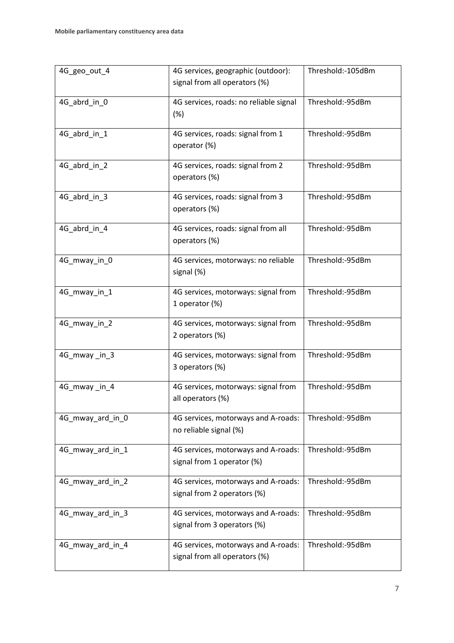| 4G_geo_out_4     | 4G services, geographic (outdoor):<br>signal from all operators (%)  | Threshold:-105dBm |  |
|------------------|----------------------------------------------------------------------|-------------------|--|
| 4G_abrd_in_0     | 4G services, roads: no reliable signal<br>(%)                        | Threshold:-95dBm  |  |
| 4G_abrd_in_1     | 4G services, roads: signal from 1<br>operator (%)                    | Threshold:-95dBm  |  |
| 4G abrd in 2     | 4G services, roads: signal from 2<br>operators (%)                   | Threshold:-95dBm  |  |
| 4G_abrd_in_3     | 4G services, roads: signal from 3<br>operators (%)                   | Threshold:-95dBm  |  |
| 4G_abrd_in_4     | 4G services, roads: signal from all<br>operators (%)                 | Threshold:-95dBm  |  |
| 4G_mway_in_0     | 4G services, motorways: no reliable<br>signal (%)                    | Threshold:-95dBm  |  |
| 4G_mway_in_1     | 4G services, motorways: signal from<br>1 operator (%)                | Threshold:-95dBm  |  |
| 4G_mway_in_2     | 4G services, motorways: signal from<br>2 operators (%)               | Threshold:-95dBm  |  |
| 4G_mway_in_3     | 4G services, motorways: signal from<br>3 operators (%)               | Threshold:-95dBm  |  |
| 4G_mway_in_4     | 4G services, motorways: signal from<br>all operators (%)             | Threshold:-95dBm  |  |
| 4G_mway_ard_in_0 | 4G services, motorways and A-roads:<br>no reliable signal (%)        | Threshold:-95dBm  |  |
| 4G_mway_ard_in_1 | 4G services, motorways and A-roads:<br>signal from 1 operator (%)    | Threshold:-95dBm  |  |
| 4G_mway_ard_in_2 | 4G services, motorways and A-roads:<br>signal from 2 operators (%)   | Threshold:-95dBm  |  |
| 4G_mway_ard_in_3 | 4G services, motorways and A-roads:<br>signal from 3 operators (%)   | Threshold:-95dBm  |  |
| 4G_mway_ard_in_4 | 4G services, motorways and A-roads:<br>signal from all operators (%) | Threshold:-95dBm  |  |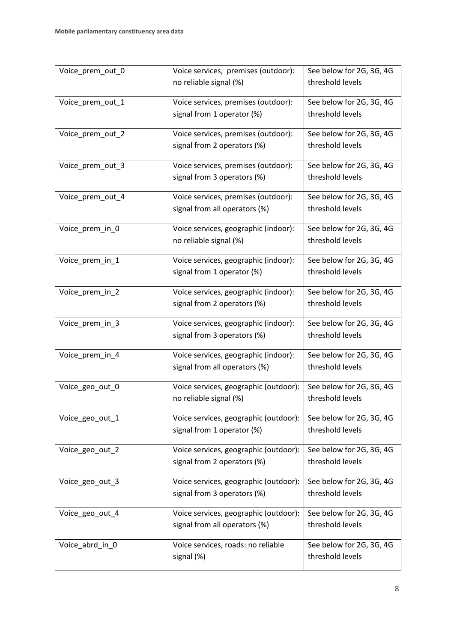| Voice_prem_out_0 | Voice services, premises (outdoor):   | See below for 2G, 3G, 4G |
|------------------|---------------------------------------|--------------------------|
|                  | no reliable signal (%)                | threshold levels         |
|                  |                                       |                          |
| Voice_prem_out_1 | Voice services, premises (outdoor):   | See below for 2G, 3G, 4G |
|                  | signal from 1 operator (%)            | threshold levels         |
| Voice_prem_out_2 | Voice services, premises (outdoor):   | See below for 2G, 3G, 4G |
|                  | signal from 2 operators (%)           | threshold levels         |
| Voice_prem_out_3 | Voice services, premises (outdoor):   | See below for 2G, 3G, 4G |
|                  | signal from 3 operators (%)           | threshold levels         |
| Voice_prem_out_4 | Voice services, premises (outdoor):   | See below for 2G, 3G, 4G |
|                  | signal from all operators (%)         | threshold levels         |
| Voice_prem_in_0  | Voice services, geographic (indoor):  | See below for 2G, 3G, 4G |
|                  | no reliable signal (%)                | threshold levels         |
| Voice_prem_in_1  | Voice services, geographic (indoor):  | See below for 2G, 3G, 4G |
|                  | signal from 1 operator (%)            | threshold levels         |
| Voice_prem_in_2  | Voice services, geographic (indoor):  | See below for 2G, 3G, 4G |
|                  | signal from 2 operators (%)           | threshold levels         |
| Voice_prem_in_3  | Voice services, geographic (indoor):  | See below for 2G, 3G, 4G |
|                  | signal from 3 operators (%)           | threshold levels         |
| Voice_prem_in_4  | Voice services, geographic (indoor):  | See below for 2G, 3G, 4G |
|                  | signal from all operators (%)         | threshold levels         |
| Voice_geo_out_0  | Voice services, geographic (outdoor): | See below for 2G, 3G, 4G |
|                  | no reliable signal (%)                | threshold levels         |
| Voice_geo_out_1  | Voice services, geographic (outdoor): | See below for 2G, 3G, 4G |
|                  | signal from 1 operator (%)            | threshold levels         |
| Voice_geo_out_2  | Voice services, geographic (outdoor): | See below for 2G, 3G, 4G |
|                  | signal from 2 operators (%)           | threshold levels         |
| Voice_geo_out_3  | Voice services, geographic (outdoor): | See below for 2G, 3G, 4G |
|                  | signal from 3 operators (%)           | threshold levels         |
| Voice_geo_out_4  | Voice services, geographic (outdoor): | See below for 2G, 3G, 4G |
|                  | signal from all operators (%)         | threshold levels         |
| Voice_abrd_in_0  | Voice services, roads: no reliable    | See below for 2G, 3G, 4G |
|                  | signal (%)                            | threshold levels         |
|                  |                                       |                          |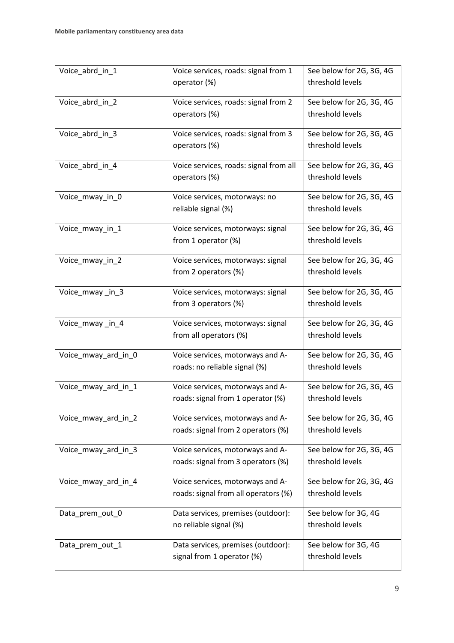| Voice_abrd_in_1     | Voice services, roads: signal from 1   | See below for 2G, 3G, 4G |
|---------------------|----------------------------------------|--------------------------|
|                     | operator (%)                           | threshold levels         |
| Voice_abrd_in_2     | Voice services, roads: signal from 2   | See below for 2G, 3G, 4G |
|                     | operators (%)                          | threshold levels         |
| Voice_abrd_in_3     | Voice services, roads: signal from 3   | See below for 2G, 3G, 4G |
|                     | operators (%)                          | threshold levels         |
| Voice_abrd_in_4     | Voice services, roads: signal from all | See below for 2G, 3G, 4G |
|                     | operators (%)                          | threshold levels         |
| Voice_mway_in_0     | Voice services, motorways: no          | See below for 2G, 3G, 4G |
|                     | reliable signal (%)                    | threshold levels         |
| Voice_mway_in_1     | Voice services, motorways: signal      | See below for 2G, 3G, 4G |
|                     | from 1 operator (%)                    | threshold levels         |
| Voice_mway_in_2     | Voice services, motorways: signal      | See below for 2G, 3G, 4G |
|                     | from 2 operators (%)                   | threshold levels         |
| Voice_mway_in_3     | Voice services, motorways: signal      | See below for 2G, 3G, 4G |
|                     | from 3 operators (%)                   | threshold levels         |
| Voice_mway_in_4     | Voice services, motorways: signal      | See below for 2G, 3G, 4G |
|                     | from all operators (%)                 | threshold levels         |
| Voice_mway_ard_in_0 | Voice services, motorways and A-       | See below for 2G, 3G, 4G |
|                     | roads: no reliable signal (%)          | threshold levels         |
| Voice_mway_ard_in_1 | Voice services, motorways and A-       | See below for 2G, 3G, 4G |
|                     | roads: signal from 1 operator (%)      | threshold levels         |
| Voice_mway_ard_in_2 | Voice services, motorways and A-       | See below for 2G, 3G, 4G |
|                     | roads: signal from 2 operators (%)     | threshold levels         |
| Voice_mway_ard_in_3 | Voice services, motorways and A-       | See below for 2G, 3G, 4G |
|                     | roads: signal from 3 operators (%)     | threshold levels         |
| Voice_mway_ard_in_4 | Voice services, motorways and A-       | See below for 2G, 3G, 4G |
|                     | roads: signal from all operators (%)   | threshold levels         |
| Data_prem_out_0     | Data services, premises (outdoor):     | See below for 3G, 4G     |
|                     | no reliable signal (%)                 | threshold levels         |
| Data_prem_out_1     | Data services, premises (outdoor):     | See below for 3G, 4G     |
|                     | signal from 1 operator (%)             | threshold levels         |
|                     |                                        |                          |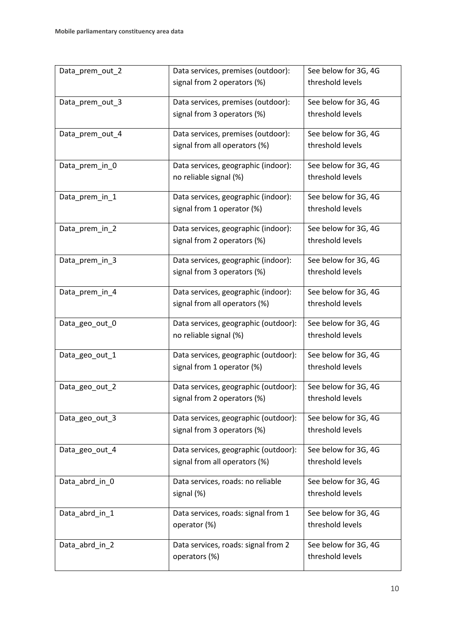| Data_prem_out_2 | Data services, premises (outdoor):   | See below for 3G, 4G |  |
|-----------------|--------------------------------------|----------------------|--|
|                 | signal from 2 operators (%)          | threshold levels     |  |
| Data_prem_out_3 | Data services, premises (outdoor):   | See below for 3G, 4G |  |
|                 | signal from 3 operators (%)          | threshold levels     |  |
| Data_prem_out_4 | Data services, premises (outdoor):   | See below for 3G, 4G |  |
|                 | signal from all operators (%)        | threshold levels     |  |
| Data_prem_in_0  | Data services, geographic (indoor):  | See below for 3G, 4G |  |
|                 | no reliable signal (%)               | threshold levels     |  |
| Data_prem_in_1  | Data services, geographic (indoor):  | See below for 3G, 4G |  |
|                 | signal from 1 operator (%)           | threshold levels     |  |
| Data_prem_in_2  | Data services, geographic (indoor):  | See below for 3G, 4G |  |
|                 | signal from 2 operators (%)          | threshold levels     |  |
| Data_prem_in_3  | Data services, geographic (indoor):  | See below for 3G, 4G |  |
|                 | signal from 3 operators (%)          | threshold levels     |  |
| Data_prem_in_4  | Data services, geographic (indoor):  | See below for 3G, 4G |  |
|                 | signal from all operators (%)        | threshold levels     |  |
| Data_geo_out_0  | Data services, geographic (outdoor): | See below for 3G, 4G |  |
|                 | no reliable signal (%)               | threshold levels     |  |
| Data_geo_out_1  | Data services, geographic (outdoor): | See below for 3G, 4G |  |
|                 | signal from 1 operator (%)           | threshold levels     |  |
| Data_geo_out_2  | Data services, geographic (outdoor): | See below for 3G, 4G |  |
|                 | signal from 2 operators (%)          | threshold levels     |  |
| Data_geo_out_3  | Data services, geographic (outdoor): | See below for 3G, 4G |  |
|                 | signal from 3 operators (%)          | threshold levels     |  |
| Data_geo_out_4  | Data services, geographic (outdoor): | See below for 3G, 4G |  |
|                 | signal from all operators (%)        | threshold levels     |  |
| Data_abrd_in_0  | Data services, roads: no reliable    | See below for 3G, 4G |  |
|                 | signal (%)                           | threshold levels     |  |
| Data_abrd_in_1  | Data services, roads: signal from 1  | See below for 3G, 4G |  |
|                 | operator (%)                         | threshold levels     |  |
| Data_abrd_in_2  | Data services, roads: signal from 2  | See below for 3G, 4G |  |
|                 | operators (%)                        | threshold levels     |  |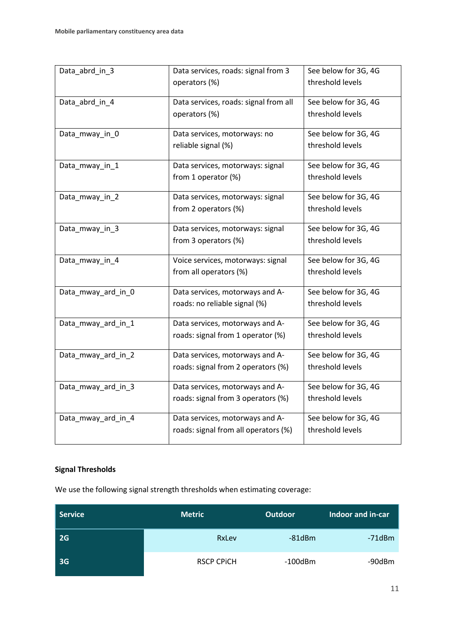| Data_abrd_in_3     | Data services, roads: signal from 3   | See below for 3G, 4G |
|--------------------|---------------------------------------|----------------------|
|                    | operators (%)                         | threshold levels     |
| Data_abrd_in_4     | Data services, roads: signal from all | See below for 3G, 4G |
|                    | operators (%)                         | threshold levels     |
| Data_mway_in_0     | Data services, motorways: no          | See below for 3G, 4G |
|                    | reliable signal (%)                   | threshold levels     |
| Data_mway_in_1     | Data services, motorways: signal      | See below for 3G, 4G |
|                    | from 1 operator (%)                   | threshold levels     |
| Data_mway_in_2     | Data services, motorways: signal      | See below for 3G, 4G |
|                    | from 2 operators (%)                  | threshold levels     |
| Data_mway_in_3     | Data services, motorways: signal      | See below for 3G, 4G |
|                    | from 3 operators (%)                  | threshold levels     |
| Data_mway_in_4     | Voice services, motorways: signal     | See below for 3G, 4G |
|                    | from all operators (%)                | threshold levels     |
| Data_mway_ard_in_0 | Data services, motorways and A-       | See below for 3G, 4G |
|                    | roads: no reliable signal (%)         | threshold levels     |
| Data_mway_ard_in_1 | Data services, motorways and A-       | See below for 3G, 4G |
|                    | roads: signal from 1 operator (%)     | threshold levels     |
| Data_mway_ard_in_2 | Data services, motorways and A-       | See below for 3G, 4G |
|                    | roads: signal from 2 operators (%)    | threshold levels     |
| Data_mway_ard_in_3 | Data services, motorways and A-       | See below for 3G, 4G |
|                    | roads: signal from 3 operators (%)    | threshold levels     |
| Data_mway_ard_in_4 | Data services, motorways and A-       | See below for 3G, 4G |
|                    | roads: signal from all operators (%)  | threshold levels     |

## **Signal Thresholds**

We use the following signal strength thresholds when estimating coverage:

| Service   | <b>Metric</b>     | <b>Outdoor</b> | Indoor and in-car |
|-----------|-------------------|----------------|-------------------|
| <b>2G</b> | RxLev             | $-81$ d $Bm$   | $-71dBm$          |
| <b>3G</b> | <b>RSCP CPICH</b> | $-100$ dBm     | -90dBm            |